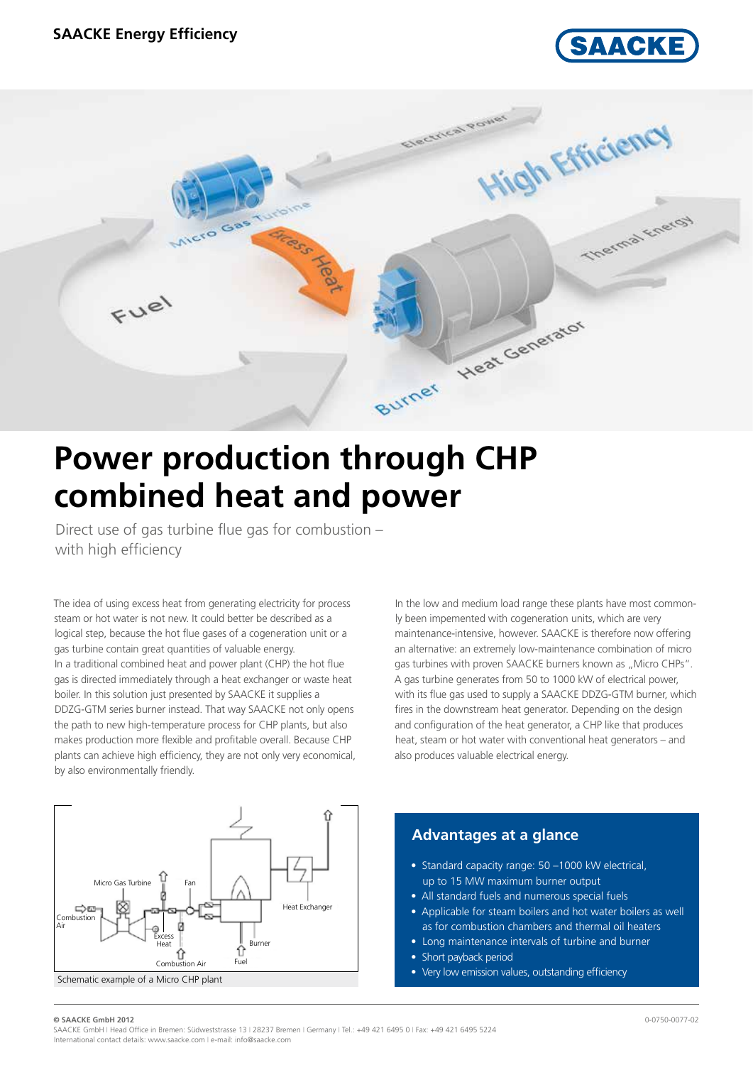



# **Power production through CHP combined heat and power**

Direct use of gas turbine flue gas for combustion – with high efficiency

The idea of using excess heat from generating electricity for process steam or hot water is not new. It could better be described as a logical step, because the hot flue gases of a cogeneration unit or a gas turbine contain great quantities of valuable energy. In a traditional combined heat and power plant (CHP) the hot flue gas is directed immediately through a heat exchanger or waste heat boiler. In this solution just presented by SAACKE it supplies a DDZG-GTM series burner instead. That way SAACKE not only opens the path to new high-temperature process for CHP plants, but also makes production more flexible and profitable overall. Because CHP plants can achieve high efficiency, they are not only very economical, by also environmentally friendly.



In the low and medium load range these plants have most commonly been impemented with cogeneration units, which are very maintenance-intensive, however. SAACKE is therefore now offering an alternative: an extremely low-maintenance combination of micro gas turbines with proven SAACKE burners known as "Micro CHPs". A gas turbine generates from 50 to 1000 kW of electrical power, with its flue gas used to supply a SAACKE DDZG-GTM burner, which fires in the downstream heat generator. Depending on the design and configuration of the heat generator, a CHP like that produces heat, steam or hot water with conventional heat generators – and also produces valuable electrical energy.

## **Advantages at a glance**

- Standard capacity range: 50 –1000 kW electrical, up to 15 MW maximum burner output
- All standard fuels and numerous special fuels
- Applicable for steam boilers and hot water boilers as well as for combustion chambers and thermal oil heaters
- Long maintenance intervals of turbine and burner
- Short payback period
- Very low emission values, outstanding efficiency

#### **© SAACKE GmbH 2012** 0-0750-0077-02

SAACKE GmbH | Head Office in Bremen: Südweststrasse 13 | 28237 Bremen | Germany | Tel.: +49 421 6495 0 | Fax: +49 421 6495 5224 International contact details: www.saacke.com | e-mail: info@saacke.com